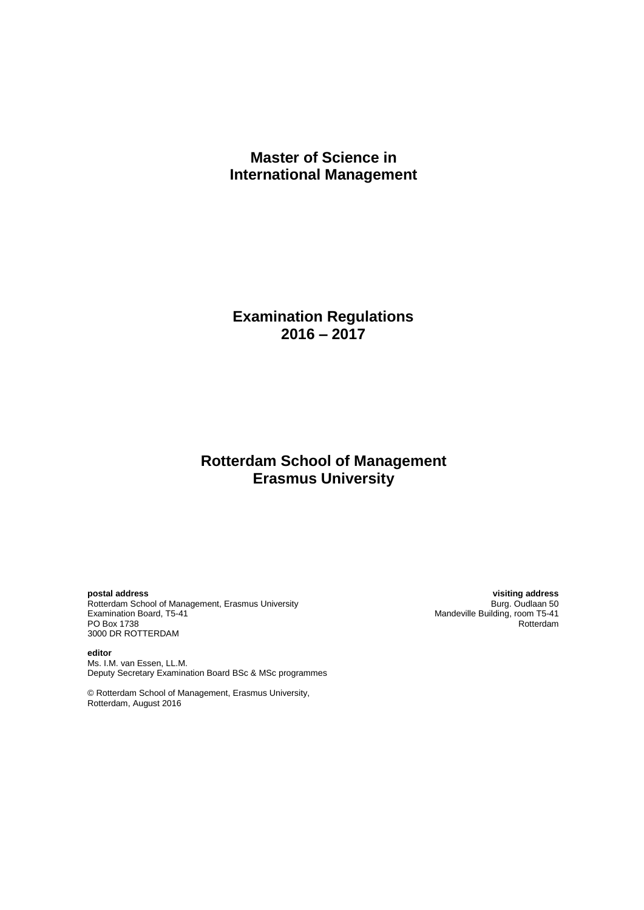# **Master of Science in International Management**

**Examination Regulations 2016 – 2017**

# **Rotterdam School of Management Erasmus University**

Rotterdam School of Management, Erasmus University<br>Examination Board, T5-41 Examination Board, The Contention Board, T5-41<br>Examination Board, T5-41 Mandeville Building, room T5-41<br>PO Box 1738 Rotterdam PO Box 1738 Rotterdam and the contract of the contract of the contract of the contract of the contract of the contract of the contract of the contract of the contract of the contract of the contract of the contract of the 3000 DR ROTTERDAM

**editor** Ms. I.M. van Essen, LL.M. Deputy Secretary Examination Board BSc & MSc programmes

© Rotterdam School of Management, Erasmus University, Rotterdam, August 2016

**postal address visiting address**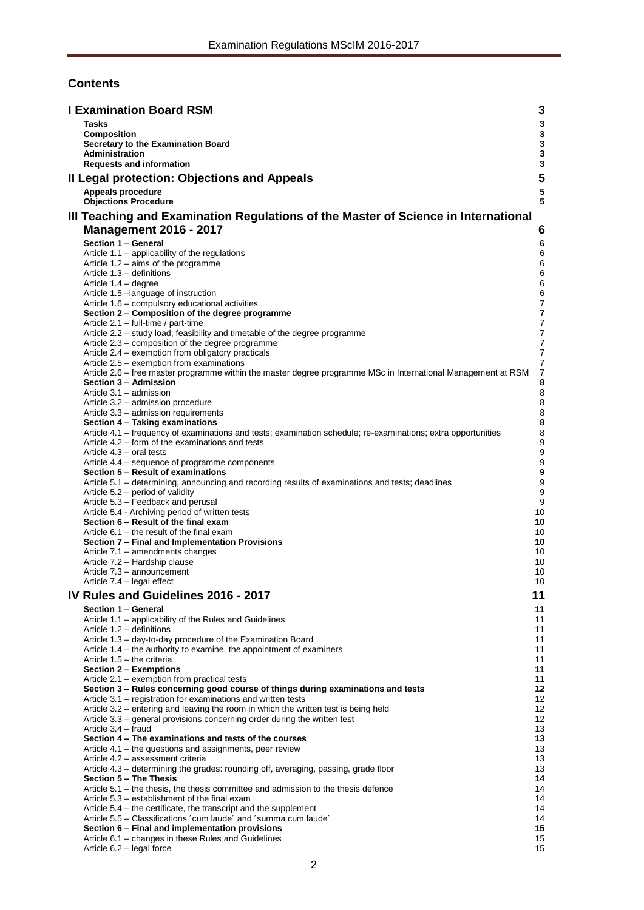# **Contents**

| <b>I Examination Board RSM</b><br>3 |                                                                                                                                      |                            |  |
|-------------------------------------|--------------------------------------------------------------------------------------------------------------------------------------|----------------------------|--|
|                                     | <b>Tasks</b>                                                                                                                         | 3                          |  |
|                                     | Composition                                                                                                                          | 3                          |  |
|                                     | Secretary to the Examination Board<br><b>Administration</b>                                                                          | $\mathbf 3$<br>$\mathbf 3$ |  |
|                                     | <b>Requests and information</b>                                                                                                      | 3                          |  |
|                                     | Il Legal protection: Objections and Appeals                                                                                          | 5                          |  |
|                                     | Appeals procedure                                                                                                                    | ${\bf 5}$                  |  |
|                                     | <b>Objections Procedure</b>                                                                                                          | 5                          |  |
|                                     | III Teaching and Examination Regulations of the Master of Science in International                                                   |                            |  |
|                                     | <b>Management 2016 - 2017</b>                                                                                                        | 6                          |  |
|                                     |                                                                                                                                      |                            |  |
|                                     | Section 1 - General<br>Article $1.1$ – applicability of the regulations                                                              | 6<br>6                     |  |
|                                     | Article 1.2 – aims of the programme                                                                                                  | 6                          |  |
|                                     | Article 1.3 - definitions                                                                                                            | 6                          |  |
|                                     | Article 1.4 - degree                                                                                                                 | 6                          |  |
|                                     | Article 1.5 - language of instruction<br>Article 1.6 - compulsory educational activities                                             | 6<br>7                     |  |
|                                     | Section 2 – Composition of the degree programme                                                                                      | 7                          |  |
|                                     | Article 2.1 – full-time / part-time                                                                                                  | $\overline{7}$             |  |
|                                     | Article 2.2 - study load, feasibility and timetable of the degree programme                                                          | $\overline{7}$             |  |
|                                     | Article 2.3 - composition of the degree programme<br>Article 2.4 – exemption from obligatory practicals                              | 7<br>7                     |  |
|                                     | Article 2.5 – exemption from examinations                                                                                            | 7                          |  |
|                                     | Article 2.6 - free master programme within the master degree programme MSc in International Management at RSM                        | $\overline{7}$             |  |
|                                     | Section 3 - Admission                                                                                                                | 8                          |  |
|                                     | Article 3.1 - admission<br>Article 3.2 – admission procedure                                                                         | $\bf8$<br>8                |  |
|                                     | Article 3.3 - admission requirements                                                                                                 | 8                          |  |
|                                     | Section 4 - Taking examinations                                                                                                      | 8                          |  |
|                                     | Article 4.1 - frequency of examinations and tests; examination schedule; re-examinations; extra opportunities                        | 8                          |  |
|                                     | Article 4.2 – form of the examinations and tests<br>Article 4.3 – oral tests                                                         | 9<br>9                     |  |
|                                     | Article 4.4 – sequence of programme components                                                                                       | $\boldsymbol{9}$           |  |
|                                     | Section 5 - Result of examinations                                                                                                   | 9                          |  |
|                                     | Article 5.1 – determining, announcing and recording results of examinations and tests; deadlines<br>Article 5.2 – period of validity | 9<br>9                     |  |
|                                     | Article 5.3 - Feedback and perusal                                                                                                   | 9                          |  |
|                                     | Article 5.4 - Archiving period of written tests                                                                                      | 10                         |  |
|                                     | Section 6 - Result of the final exam                                                                                                 | 10                         |  |
|                                     | Article $6.1$ – the result of the final exam<br>Section 7 - Final and Implementation Provisions                                      | 10<br>10                   |  |
|                                     | Article 7.1 - amendments changes                                                                                                     | 10                         |  |
|                                     | Article 7.2 - Hardship clause                                                                                                        | 10                         |  |
|                                     | Article 7.3 - announcement                                                                                                           | 10                         |  |
|                                     | Article 7.4 – legal effect                                                                                                           | 10                         |  |
|                                     | IV Rules and Guidelines 2016 - 2017<br>11                                                                                            |                            |  |
|                                     | Section 1 - General                                                                                                                  | 11                         |  |
|                                     | Article 1.1 - applicability of the Rules and Guidelines<br>Article 1.2 - definitions                                                 | 11<br>11                   |  |
|                                     | Article 1.3 - day-to-day procedure of the Examination Board                                                                          | 11                         |  |
|                                     | Article 1.4 – the authority to examine, the appointment of examiners                                                                 | 11                         |  |
|                                     | Article 1.5 - the criteria                                                                                                           | 11                         |  |
|                                     | Section 2 - Exemptions<br>Article 2.1 – exemption from practical tests                                                               | 11<br>11                   |  |
|                                     | Section 3 - Rules concerning good course of things during examinations and tests                                                     | 12                         |  |
|                                     | Article 3.1 – registration for examinations and written tests                                                                        | 12                         |  |
|                                     | Article 3.2 – entering and leaving the room in which the written test is being held                                                  | 12                         |  |
|                                     | Article 3.3 – general provisions concerning order during the written test<br>Article 3.4 - fraud                                     | 12<br>13                   |  |
|                                     | Section 4 - The examinations and tests of the courses                                                                                | 13                         |  |
|                                     | Article 4.1 – the questions and assignments, peer review                                                                             | 13                         |  |
|                                     | Article 4.2 - assessment criteria                                                                                                    | 13                         |  |
|                                     | Article 4.3 - determining the grades: rounding off, averaging, passing, grade floor<br>Section 5 – The Thesis                        | 13<br>14                   |  |
|                                     | Article $5.1$ – the thesis, the thesis committee and admission to the thesis defence                                                 | 14                         |  |
|                                     | Article 5.3 – establishment of the final exam                                                                                        | 14                         |  |
|                                     | Article 5.4 – the certificate, the transcript and the supplement                                                                     | 14                         |  |
|                                     | Article 5.5 – Classifications 'cum laude' and 'summa cum laude'<br>Section 6 - Final and implementation provisions                   | 14<br>15                   |  |
|                                     | Article 6.1 – changes in these Rules and Guidelines                                                                                  | 15                         |  |
|                                     | Article 6.2 - legal force                                                                                                            | 15                         |  |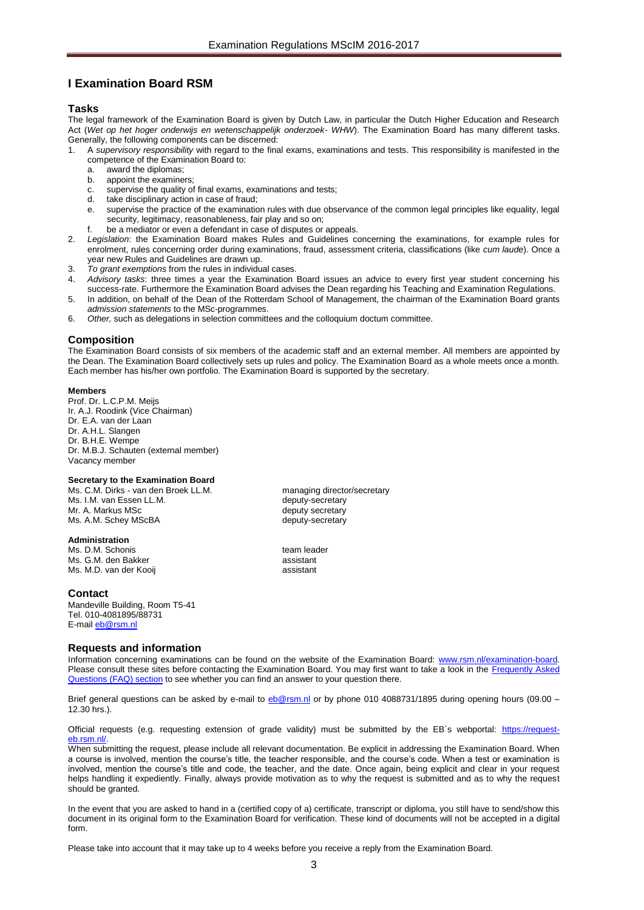# <span id="page-2-0"></span>**I Examination Board RSM**

## <span id="page-2-1"></span>**Tasks**

The legal framework of the Examination Board is given by Dutch Law, in particular the Dutch Higher Education and Research Act (*Wet op het hoger onderwijs en wetenschappelijk onderzoek- WHW*). The Examination Board has many different tasks. Generally, the following components can be discerned:

- 1. A *supervisory responsibility* with regard to the final exams, examinations and tests. This responsibility is manifested in the competence of the Examination Board to:
	-
	- a. award the diplomas;<br>b. appoint the examine appoint the examiners;
	- c. supervise the quality of final exams, examinations and tests;
	- d. take disciplinary action in case of fraud;
	- e. supervise the practice of the examination rules with due observance of the common legal principles like equality, legal security, legitimacy, reasonableness, fair play and so on;
	- f. be a mediator or even a defendant in case of disputes or appeals.
- 2. *Legislation*: the Examination Board makes Rules and Guidelines concerning the examinations, for example rules for enrolment, rules concerning order during examinations, fraud, assessment criteria, classifications (like *cum laude*). Once a year new Rules and Guidelines are drawn up.
- 3. *To grant exemptions* from the rules in individual cases.
- 4. *Advisory tasks*: three times a year the Examination Board issues an advice to every first year student concerning his success-rate. Furthermore the Examination Board advises the Dean regarding his Teaching and Examination Regulations.
- 5. In addition, on behalf of the Dean of the Rotterdam School of Management, the chairman of the Examination Board grants *admission statements* to the MSc-programmes.
- 6. *Other,* such as delegations in selection committees and the colloquium doctum committee.

## <span id="page-2-2"></span>**Composition**

The Examination Board consists of six members of the academic staff and an external member. All members are appointed by the Dean. The Examination Board collectively sets up rules and policy. The Examination Board as a whole meets once a month. Each member has his/her own portfolio. The Examination Board is supported by the secretary.

## **Members**

Prof. Dr. L.C.P.M. Meijs Ir. A.J. Roodink (Vice Chairman) Dr. E.A. van der Laan Dr. A.H.L. Slangen Dr. B.H.E. Wempe Dr. M.B.J. Schauten (external member) Vacancy member

## <span id="page-2-3"></span>**Secretary to the Examination Board**

Ms. C.M. Dirks - van den Broek LL.M. managing director/secretary<br>Ms. I.M. van Essen LL.M. managing directory Ms. I.M. van Essen LL.M. Mr. A. Markus MSc deputy secretary Ms. A.M. Schey MScBA deputy-secretary

## <span id="page-2-4"></span>**Administration**

Ms. D.M. Schonis team leader Ms. G.M. den Bakker assistant Ms. M.D. van der Kooii assistant

## **Contact**

Mandeville Building, Room T5-41 Tel. 010-4081895/88731 E-mail [eb@rsm.nl](mailto:eb@rsm.nl)

## <span id="page-2-5"></span>**Requests and information**

Information concerning examinations can be found on the website of the Examination Board: [www.rsm.nl/examination-board.](http://www.rsm.nl/examination-board) Please consult these sites before contacting the Examination Board. You may first want to take a look in the Frequently Asked [Questions \(FAQ\) section](http://www.rsm.nl/examination-board/frequently-asked-questions-faqs/) to see whether you can find an answer to your question there.

Brief general questions can be asked by e-mail to [eb@rsm.nl](mailto:eb@rsm.nl) or by phone 010 4088731/1895 during opening hours (09.00 – 12.30 hrs.).

Official requests (e.g. requesting extension of grade validity) must be submitted by the EB´s webportal: [https://request](https://request-eb.rsm.nl/)b.rsm.nl/

When submitting the request, please include all relevant documentation. Be explicit in addressing the Examination Board. When a course is involved, mention the course's title, the teacher responsible, and the course's code. When a test or examination is involved, mention the course's title and code, the teacher, and the date. Once again, being explicit and clear in your request helps handling it expediently. Finally, always provide motivation as to why the request is submitted and as to why the request should be granted.

In the event that you are asked to hand in a (certified copy of a) certificate, transcript or diploma, you still have to send/show this document in its original form to the Examination Board for verification. These kind of documents will not be accepted in a digital form.

Please take into account that it may take up to 4 weeks before you receive a reply from the Examination Board.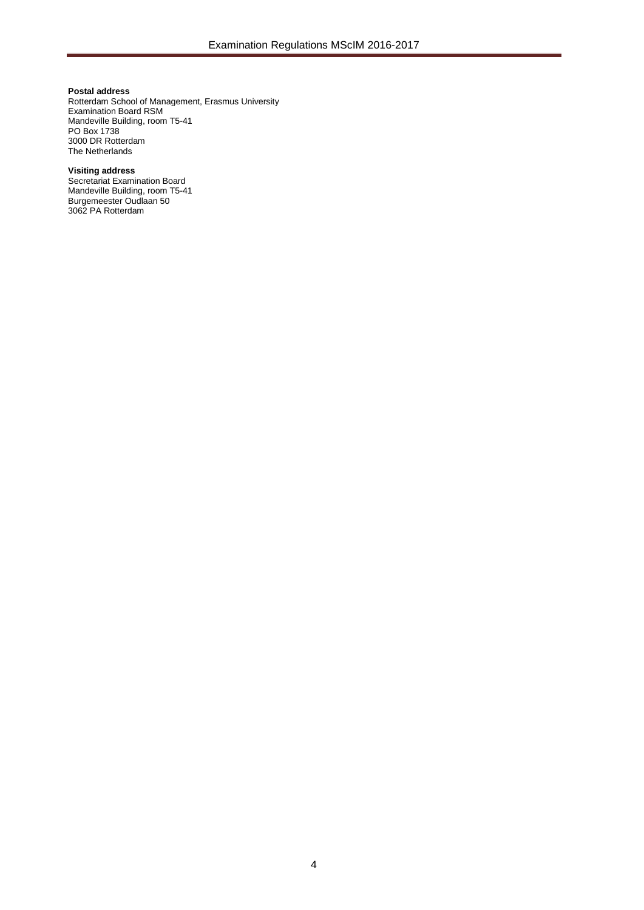## **Postal address**

Rotterdam School of Management, Erasmus University Examination Board RSM Mandeville Building, room T5-41 PO Box 1738 3000 DR Rotterdam The Netherlands

#### **Visiting address**

Secretariat Examination Board Mandeville Building, room T5-41 Burgemeester Oudlaan 50 3062 PA Rotterdam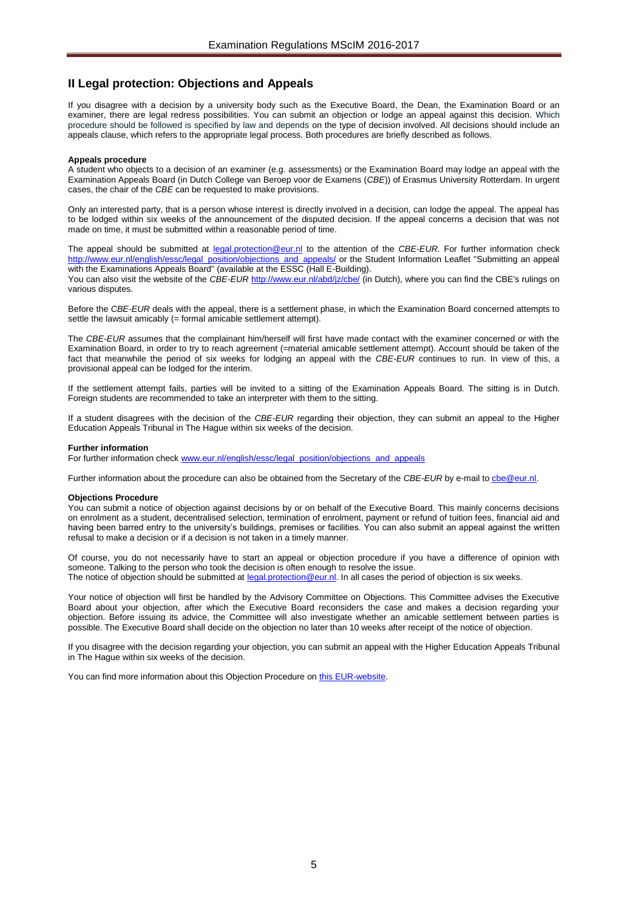# <span id="page-4-0"></span>**II Legal protection: Objections and Appeals**

If you disagree with a decision by a university body such as the Executive Board, the Dean, the Examination Board or an examiner, there are legal redress possibilities. You can submit an objection or lodge an appeal against this decision. Which procedure should be followed is specified by law and depends on the type of decision involved. All decisions should include an appeals clause, which refers to the appropriate legal process. Both procedures are briefly described as follows.

#### <span id="page-4-1"></span>**Appeals procedure**

A student who objects to a decision of an examiner (e.g. assessments) or the Examination Board may lodge an appeal with the Examination Appeals Board (in Dutch College van Beroep voor de Examens (*CBE*)) of Erasmus University Rotterdam. In urgent cases, the chair of the *CBE* can be requested to make provisions.

Only an interested party, that is a person whose interest is directly involved in a decision, can lodge the appeal. The appeal has to be lodged within six weeks of the announcement of the disputed decision. If the appeal concerns a decision that was not made on time, it must be submitted within a reasonable period of time.

The appeal should be submitted at [legal.protection@eur.nl](mailto:legal.protection@eur.nl) to the attention of the *CBE*-*EUR*. For further information check [http://www.eur.nl/english/essc/legal\\_position/objections\\_and\\_appeals/](http://www.eur.nl/english/essc/legal_position/objections_and_appeals/) or the Student Information Leaflet "Submitting an appeal with the Examinations Appeals Board" (available at the ESSC (Hall E-Building).

You can also visit the website of the *CBE-EUR* <http://www.eur.nl/abd/jz/cbe/> (in Dutch), where you can find the CBE's rulings on various disputes.

Before the *CBE*-*EUR* deals with the appeal, there is a settlement phase, in which the Examination Board concerned attempts to settle the lawsuit amicably (= formal amicable settlement attempt).

The *CBE*-*EUR* assumes that the complainant him/herself will first have made contact with the examiner concerned or with the Examination Board, in order to try to reach agreement (=material amicable settlement attempt). Account should be taken of the fact that meanwhile the period of six weeks for lodging an appeal with the *CBE*-*EUR* continues to run. In view of this, a provisional appeal can be lodged for the interim.

If the settlement attempt fails, parties will be invited to a sitting of the Examination Appeals Board. The sitting is in Dutch. Foreign students are recommended to take an interpreter with them to the sitting.

If a student disagrees with the decision of the *CBE-EUR* regarding their objection, they can submit an appeal to the Higher Education Appeals Tribunal in The Hague within six weeks of the decision.

#### **Further information**

For further information chec[k www.eur.nl/english/essc/legal\\_position/objections\\_and\\_appeals](http://www.eur.nl/english/essc/legal_position/objections_and_appeals)

Further information about the procedure can also be obtained from the Secretary of the *CBE-EUR* by e-mail to *che@eur.nl.* 

#### <span id="page-4-2"></span>**Objections Procedure**

You can submit a notice of objection against decisions by or on behalf of the Executive Board. This mainly concerns decisions on enrolment as a student, decentralised selection, termination of enrolment, payment or refund of tuition fees, financial aid and having been barred entry to the university's buildings, premises or facilities. You can also submit an appeal against the written refusal to make a decision or if a decision is not taken in a timely manner.

Of course, you do not necessarily have to start an appeal or objection procedure if you have a difference of opinion with someone. Talking to the person who took the decision is often enough to resolve the issue. The notice of objection should be submitted a[t legal.protection@eur.nl.](mailto:legal.protection@eur.nl) In all cases the period of objection is six weeks.

Your notice of objection will first be handled by the Advisory Committee on Objections. This Committee advises the Executive Board about your objection, after which the Executive Board reconsiders the case and makes a decision regarding your objection. Before issuing its advice, the Committee will also investigate whether an amicable settlement between parties is possible. The Executive Board shall decide on the objection no later than 10 weeks after receipt of the notice of objection.

If you disagree with the decision regarding your objection, you can submit an appeal with the Higher Education Appeals Tribunal in The Hague within six weeks of the decision.

You can find more information about this Objection Procedure on [this EUR-website.](http://www.eur.nl/english/essc/legal_position/objections_and_appeals/)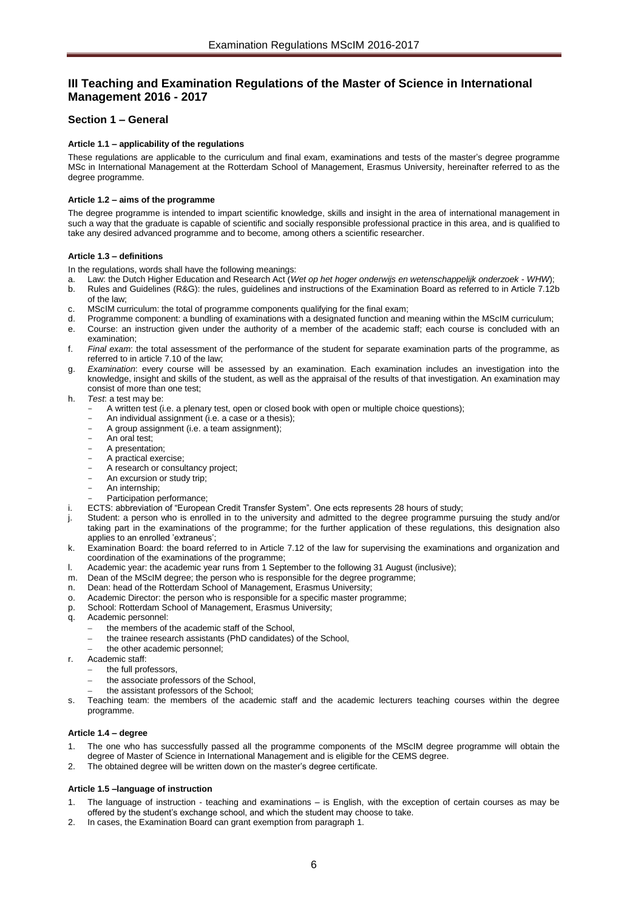# <span id="page-5-0"></span>**III Teaching and Examination Regulations of the Master of Science in International Management 2016 - 2017**

# <span id="page-5-2"></span><span id="page-5-1"></span>**Section 1 – General**

## **Article 1.1 – applicability of the regulations**

These regulations are applicable to the curriculum and final exam, examinations and tests of the master's degree programme MSc in International Management at the Rotterdam School of Management, Erasmus University, hereinafter referred to as the degree programme.

## <span id="page-5-3"></span>**Article 1.2 – aims of the programme**

The degree programme is intended to impart scientific knowledge, skills and insight in the area of international management in such a way that the graduate is capable of scientific and socially responsible professional practice in this area, and is qualified to take any desired advanced programme and to become, among others a scientific researcher.

## <span id="page-5-4"></span>**Article 1.3 – definitions**

In the regulations, words shall have the following meanings:

- a. Law: the Dutch Higher Education and Research Act (*Wet op het hoger onderwijs en wetenschappelijk onderzoek WHW*);
- b. Rules and Guidelines (R&G): the rules, guidelines and instructions of the Examination Board as referred to in Article 7.12b of the law;
- c. MScIM curriculum: the total of programme components qualifying for the final exam;
- d. Programme component: a bundling of examinations with a designated function and meaning within the MScIM curriculum;
- e. Course: an instruction given under the authority of a member of the academic staff; each course is concluded with an examination;
- f. *Final exam*: the total assessment of the performance of the student for separate examination parts of the programme, as referred to in article 7.10 of the law;
- g. *Examination*: every course will be assessed by an examination. Each examination includes an investigation into the knowledge, insight and skills of the student, as well as the appraisal of the results of that investigation. An examination may consist of more than one test;
- h. *Test*: a test may be:
	- A written test (i.e. a plenary test, open or closed book with open or multiple choice questions);
	- An individual assignment (i.e. a case or a thesis);
	- A group assignment (i.e. a team assignment);
	- An oral test;
	- A presentation;
	- A practical exercise;
	- A research or consultancy project;
	- An excursion or study trip;
	- An internship:
	- Participation performance:
- ECTS: abbreviation of "European Credit Transfer System". One ects represents 28 hours of study;
- Student: a person who is enrolled in to the university and admitted to the degree programme pursuing the study and/or taking part in the examinations of the programme; for the further application of these regulations, this designation also applies to an enrolled 'extraneus';
- k. Examination Board: the board referred to in Article 7.12 of the law for supervising the examinations and organization and coordination of the examinations of the programme;
- l. Academic year: the academic year runs from 1 September to the following 31 August (inclusive);
- m. Dean of the MScIM degree; the person who is responsible for the degree programme;
- Dean: head of the Rotterdam School of Management, Erasmus University;
- o. Academic Director: the person who is responsible for a specific master programme;
- p. School: Rotterdam School of Management, Erasmus University;
- Academic personnel:
	- the members of the academic staff of the School,
	- the trainee research assistants (PhD candidates) of the School,
	- the other academic personnel;
- r. Academic staff:
	- the full professors,
	- the associate professors of the School,
	- the assistant professors of the School;
- s. Teaching team: the members of the academic staff and the academic lecturers teaching courses within the degree programme.

## <span id="page-5-5"></span>**Article 1.4 – degree**

- 1. The one who has successfully passed all the programme components of the MScIM degree programme will obtain the degree of Master of Science in International Management and is eligible for the CEMS degree.
- <span id="page-5-6"></span>2. The obtained degree will be written down on the master's degree certificate.

## **Article 1.5 –language of instruction**

- 1. The language of instruction teaching and examinations is English, with the exception of certain courses as may be offered by the student's exchange school, and which the student may choose to take.
- 2. In cases, the Examination Board can grant exemption from paragraph 1.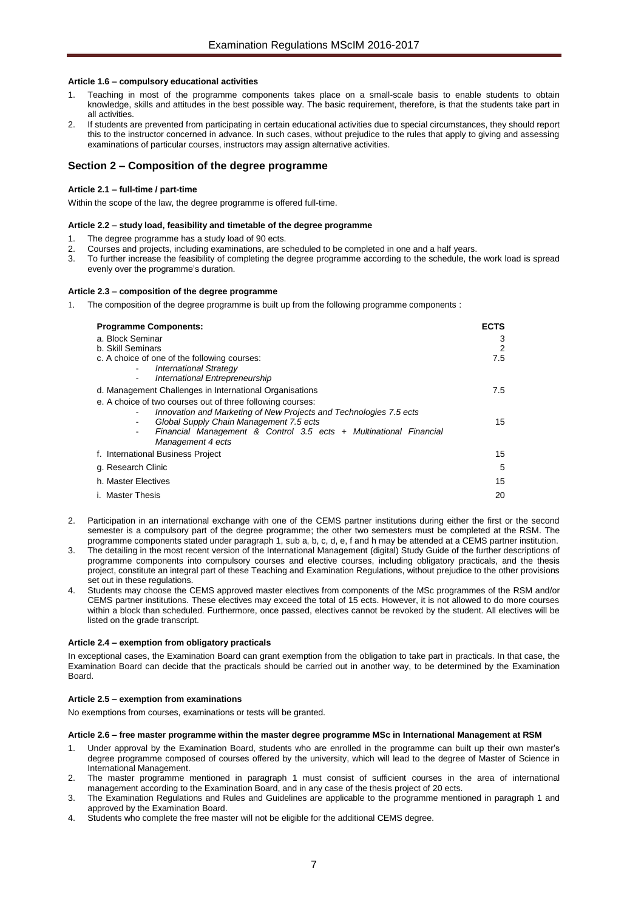## <span id="page-6-0"></span>**Article 1.6 – compulsory educational activities**

- Teaching in most of the programme components takes place on a small-scale basis to enable students to obtain knowledge, skills and attitudes in the best possible way. The basic requirement, therefore, is that the students take part in all activities.
- 2. If students are prevented from participating in certain educational activities due to special circumstances, they should report this to the instructor concerned in advance. In such cases, without prejudice to the rules that apply to giving and assessing examinations of particular courses, instructors may assign alternative activities.

## <span id="page-6-2"></span><span id="page-6-1"></span>**Section 2 – Composition of the degree programme**

## **Article 2.1 – full-time / part-time**

<span id="page-6-3"></span>Within the scope of the law, the degree programme is offered full-time.

## **Article 2.2 – study load, feasibility and timetable of the degree programme**

- 1. The degree programme has a study load of 90 ects.
- 2. Courses and projects, including examinations, are scheduled to be completed in one and a half years.<br>2. To further increase the feasibility of completing the degree programme according to the schedule, the
- 3. To further increase the feasibility of completing the degree programme according to the schedule, the work load is spread evenly over the programme's duration.

## <span id="page-6-4"></span>**Article 2.3 – composition of the degree programme**

1. The composition of the degree programme is built up from the following programme components :

| <b>Programme Components:</b><br>a. Block Seminar                                                                                                                                                                                                                      | <b>ECTS</b><br>3 |
|-----------------------------------------------------------------------------------------------------------------------------------------------------------------------------------------------------------------------------------------------------------------------|------------------|
| b. Skill Seminars                                                                                                                                                                                                                                                     | 2                |
| c. A choice of one of the following courses:<br><b>International Strategy</b><br>$\blacksquare$<br>International Entrepreneurship<br>$\blacksquare$                                                                                                                   | 7.5              |
| d. Management Challenges in International Organisations                                                                                                                                                                                                               | 7.5              |
| e. A choice of two courses out of three following courses:<br>Innovation and Marketing of New Projects and Technologies 7.5 ects<br>Global Supply Chain Management 7.5 ects<br>Financial Management & Control 3.5 ects + Multinational Financial<br>Management 4 ects | 15               |
| f. International Business Project                                                                                                                                                                                                                                     | 15               |
| g. Research Clinic                                                                                                                                                                                                                                                    | 5                |
| h. Master Electives                                                                                                                                                                                                                                                   | 15               |
| i. Master Thesis                                                                                                                                                                                                                                                      | 20               |

- 2. Participation in an international exchange with one of the CEMS partner institutions during either the first or the second semester is a compulsory part of the degree programme; the other two semesters must be completed at the RSM. The programme components stated under paragraph 1, sub a, b, c, d, e, f and h may be attended at a CEMS partner institution.
- 3. The detailing in the most recent version of the International Management (digital) Study Guide of the further descriptions of programme components into compulsory courses and elective courses, including obligatory practicals, and the thesis project, constitute an integral part of these Teaching and Examination Regulations, without prejudice to the other provisions set out in these regulations.
- 4. Students may choose the CEMS approved master electives from components of the MSc programmes of the RSM and/or CEMS partner institutions. These electives may exceed the total of 15 ects. However, it is not allowed to do more courses within a block than scheduled. Furthermore, once passed, electives cannot be revoked by the student. All electives will be listed on the grade transcript.

## <span id="page-6-5"></span>**Article 2.4 – exemption from obligatory practicals**

In exceptional cases, the Examination Board can grant exemption from the obligation to take part in practicals. In that case, the Examination Board can decide that the practicals should be carried out in another way, to be determined by the Examination Board.

## <span id="page-6-6"></span>**Article 2.5 – exemption from examinations**

<span id="page-6-7"></span>No exemptions from courses, examinations or tests will be granted.

#### **Article 2.6 – free master programme within the master degree programme MSc in International Management at RSM**

- 1. Under approval by the Examination Board, students who are enrolled in the programme can built up their own master's degree programme composed of courses offered by the university, which will lead to the degree of Master of Science in International Management.
- 2. The master programme mentioned in paragraph 1 must consist of sufficient courses in the area of international management according to the Examination Board, and in any case of the thesis project of 20 ects.
- 3. The Examination Regulations and Rules and Guidelines are applicable to the programme mentioned in paragraph 1 and approved by the Examination Board.
- 4. Students who complete the free master will not be eligible for the additional CEMS degree.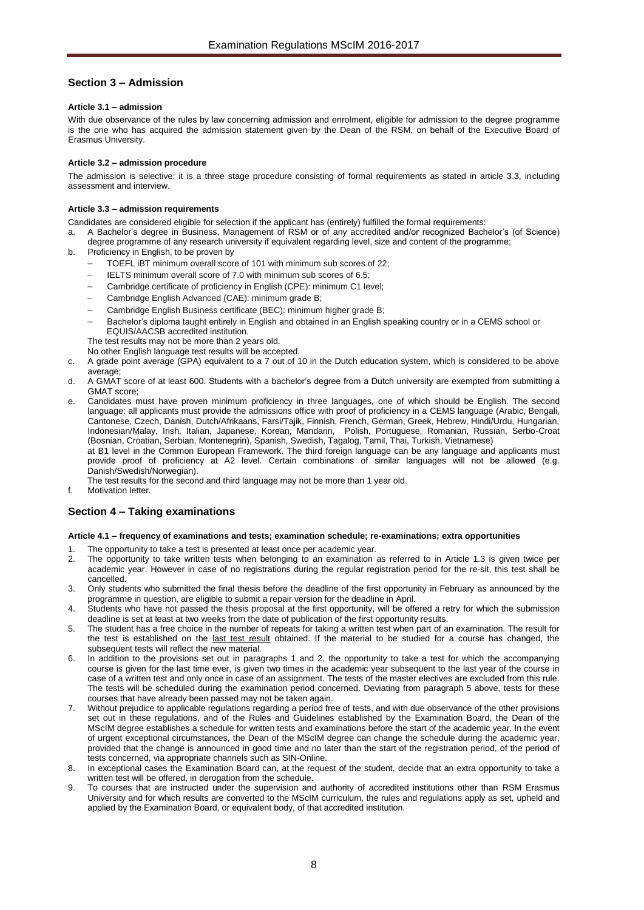# <span id="page-7-0"></span>**Section 3 – Admission**

## <span id="page-7-1"></span>**Article 3.1 – admission**

With due observance of the rules by law concerning admission and enrolment, eligible for admission to the degree programme is the one who has acquired the admission statement given by the Dean of the RSM, on behalf of the Executive Board of Erasmus University.

## <span id="page-7-2"></span>**Article 3.2 – admission procedure**

The admission is selective: it is a three stage procedure consisting of formal requirements as stated in article 3.3, including assessment and interview.

## <span id="page-7-3"></span>**Article 3.3 – admission requirements**

- Candidates are considered eligible for selection if the applicant has (entirely) fulfilled the formal requirements:
- a. A Bachelor's degree in Business, Management of RSM or of any accredited and/or recognized Bachelor's (of Science) degree programme of any research university if equivalent regarding level, size and content of the programme;
- b. Proficiency in English, to be proven by
	- TOEFL iBT minimum overall score of 101 with minimum sub scores of 22;
	- IELTS minimum overall score of 7.0 with minimum sub scores of 6.5;
	- Cambridge certificate of proficiency in English (CPE): minimum C1 level;
	- Cambridge English Advanced (CAE): minimum grade B;
	- Cambridge English Business certificate (BEC): minimum higher grade B:
	- Bachelor's diploma taught entirely in English and obtained in an English speaking country or in a CEMS school or EQUIS/AACSB accredited institution.
	- The test results may not be more than 2 years old.

No other English language test results will be accepted.

- c. A grade point average (GPA) equivalent to a 7 out of 10 in the Dutch education system, which is considered to be above average;
- d. A GMAT score of at least 600. Students with a bachelor's degree from a Dutch university are exempted from submitting a GMAT score;

e. Candidates must have proven minimum proficiency in three languages, one of which should be English. The second language: all applicants must provide the admissions office with proof of proficiency in a CEMS language (Arabic, Bengali, Cantonese, Czech, Danish, Dutch/Afrikaans, Farsi/Tajik, Finnish, French, German, Greek, Hebrew, Hindi/Urdu, Hungarian, Indonesian/Malay, Irish, Italian, Japanese, Korean, Mandarin, Polish, Portuguese, Romanian, Russian, Serbo-Croat (Bosnian, Croatian, Serbian, Montenegrin), Spanish, Swedish, Tagalog, Tamil, Thai, Turkish, Vietnamese)

at B1 level in the Common European Framework. The third foreign language can be any language and applicants must provide proof of proficiency at A2 level. Certain combinations of similar languages will not be allowed (e.g. Danish/Swedish/Norwegian).

- The test results for the second and third language may not be more than 1 year old.
- f. Motivation letter.

# <span id="page-7-5"></span><span id="page-7-4"></span>**Section 4 – Taking examinations**

## **Article 4.1 – frequency of examinations and tests; examination schedule; re-examinations; extra opportunities**

- The opportunity to take a test is presented at least once per academic year.
- 2. The opportunity to take written tests when belonging to an examination as referred to in Article 1.3 is given twice per academic year. However in case of no registrations during the regular registration period for the re-sit, this test shall be cancelled.
- 3. Only students who submitted the final thesis before the deadline of the first opportunity in February as announced by the programme in question, are eligible to submit a repair version for the deadline in April.
- 4. Students who have not passed the thesis proposal at the first opportunity, will be offered a retry for which the submission deadline is set at least at two weeks from the date of publication of the first opportunity results.
- 5. The student has a free choice in the number of repeats for taking a written test when part of an examination. The result for the test is established on the last test result obtained. If the material to be studied for a course has changed, the subsequent tests will reflect the new material.
- In addition to the provisions set out in paragraphs 1 and 2, the opportunity to take a test for which the accompanying course is given for the last time ever, is given two times in the academic year subsequent to the last year of the course in case of a written test and only once in case of an assignment. The tests of the master electives are excluded from this rule. The tests will be scheduled during the examination period concerned. Deviating from paragraph 5 above, tests for these courses that have already been passed may not be taken again.
- 7. Without prejudice to applicable regulations regarding a period free of tests, and with due observance of the other provisions set out in these regulations, and of the Rules and Guidelines established by the Examination Board, the Dean of the MScIM degree establishes a schedule for written tests and examinations before the start of the academic year. In the event of urgent exceptional circumstances, the Dean of the MScIM degree can change the schedule during the academic year, provided that the change is announced in good time and no later than the start of the registration period, of the period of tests concerned, via appropriate channels such as SIN-Online.
- In exceptional cases the Examination Board can, at the request of the student, decide that an extra opportunity to take a written test will be offered, in derogation from the schedule.
- 9. To courses that are instructed under the supervision and authority of accredited institutions other than RSM Erasmus University and for which results are converted to the MScIM curriculum, the rules and regulations apply as set, upheld and applied by the Examination Board, or equivalent body, of that accredited institution.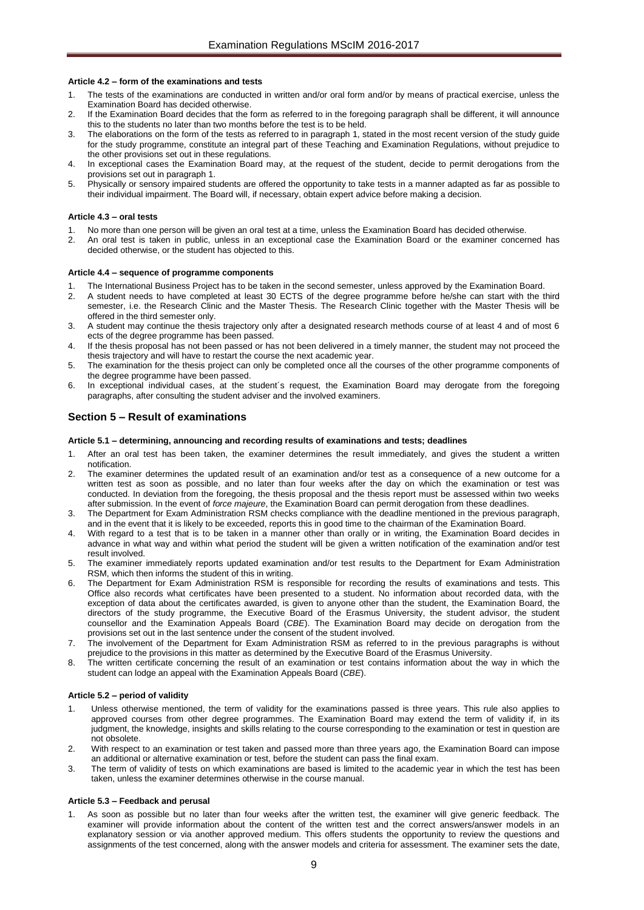## <span id="page-8-0"></span>**Article 4.2 – form of the examinations and tests**

- 1. The tests of the examinations are conducted in written and/or oral form and/or by means of practical exercise, unless the Examination Board has decided otherwise.
- 2. If the Examination Board decides that the form as referred to in the foregoing paragraph shall be different, it will announce this to the students no later than two months before the test is to be held.
- 3. The elaborations on the form of the tests as referred to in paragraph 1, stated in the most recent version of the study guide for the study programme, constitute an integral part of these Teaching and Examination Regulations, without prejudice to the other provisions set out in these regulations.
- 4. In exceptional cases the Examination Board may, at the request of the student, decide to permit derogations from the provisions set out in paragraph 1.
- 5. Physically or sensory impaired students are offered the opportunity to take tests in a manner adapted as far as possible to their individual impairment. The Board will, if necessary, obtain expert advice before making a decision.

## <span id="page-8-1"></span>**Article 4.3 – oral tests**

- 1. No more than one person will be given an oral test at a time, unless the Examination Board has decided otherwise.
- 2. An oral test is taken in public, unless in an exceptional case the Examination Board or the examiner concerned has decided otherwise, or the student has objected to this.

## <span id="page-8-2"></span>**Article 4.4 – sequence of programme components**

- 1. The International Business Project has to be taken in the second semester, unless approved by the Examination Board.
- 2. A student needs to have completed at least 30 ECTS of the degree programme before he/she can start with the third semester, i.e. the Research Clinic and the Master Thesis. The Research Clinic together with the Master Thesis will be offered in the third semester only.
- 3. A student may continue the thesis trajectory only after a designated research methods course of at least 4 and of most 6 ects of the degree programme has been passed.
- 4. If the thesis proposal has not been passed or has not been delivered in a timely manner, the student may not proceed the thesis trajectory and will have to restart the course the next academic year.
- 5. The examination for the thesis project can only be completed once all the courses of the other programme components of the degree programme have been passed.
- 6. In exceptional individual cases, at the student´s request, the Examination Board may derogate from the foregoing paragraphs, after consulting the student adviser and the involved examiners.

# <span id="page-8-3"></span>**Section 5 – Result of examinations**

# <span id="page-8-4"></span>**Article 5.1 – determining, announcing and recording results of examinations and tests; deadlines**

- After an oral test has been taken, the examiner determines the result immediately, and gives the student a written notification.
- 2. The examiner determines the updated result of an examination and/or test as a consequence of a new outcome for a written test as soon as possible, and no later than four weeks after the day on which the examination or test was conducted. In deviation from the foregoing, the thesis proposal and the thesis report must be assessed within two weeks after submission. In the event of *force majeure*, the Examination Board can permit derogation from these deadlines.
- The Department for Exam Administration RSM checks compliance with the deadline mentioned in the previous paragraph, and in the event that it is likely to be exceeded, reports this in good time to the chairman of the Examination Board.
- With regard to a test that is to be taken in a manner other than orally or in writing, the Examination Board decides in advance in what way and within what period the student will be given a written notification of the examination and/or test result involved.
- 5. The examiner immediately reports updated examination and/or test results to the Department for Exam Administration RSM, which then informs the student of this in writing.
- 6. The Department for Exam Administration RSM is responsible for recording the results of examinations and tests. This Office also records what certificates have been presented to a student. No information about recorded data, with the exception of data about the certificates awarded, is given to anyone other than the student, the Examination Board, the directors of the study programme, the Executive Board of the Erasmus University, the student advisor, the student counsellor and the Examination Appeals Board (*CBE*). The Examination Board may decide on derogation from the provisions set out in the last sentence under the consent of the student involved.
- 7. The involvement of the Department for Exam Administration RSM as referred to in the previous paragraphs is without prejudice to the provisions in this matter as determined by the Executive Board of the Erasmus University.
- 8. The written certificate concerning the result of an examination or test contains information about the way in which the student can lodge an appeal with the Examination Appeals Board (*CBE*).

## <span id="page-8-5"></span>**Article 5.2 – period of validity**

- Unless otherwise mentioned, the term of validity for the examinations passed is three years. This rule also applies to approved courses from other degree programmes. The Examination Board may extend the term of validity if, in its judgment, the knowledge, insights and skills relating to the course corresponding to the examination or test in question are not obsolete.
- 2. With respect to an examination or test taken and passed more than three years ago, the Examination Board can impose an additional or alternative examination or test, before the student can pass the final exam.
- 3. The term of validity of tests on which examinations are based is limited to the academic year in which the test has been taken, unless the examiner determines otherwise in the course manual.

## <span id="page-8-6"></span>**Article 5.3 – Feedback and perusal**

1. As soon as possible but no later than four weeks after the written test, the examiner will give generic feedback. The examiner will provide information about the content of the written test and the correct answers/answer models in an explanatory session or via another approved medium. This offers students the opportunity to review the questions and assignments of the test concerned, along with the answer models and criteria for assessment. The examiner sets the date,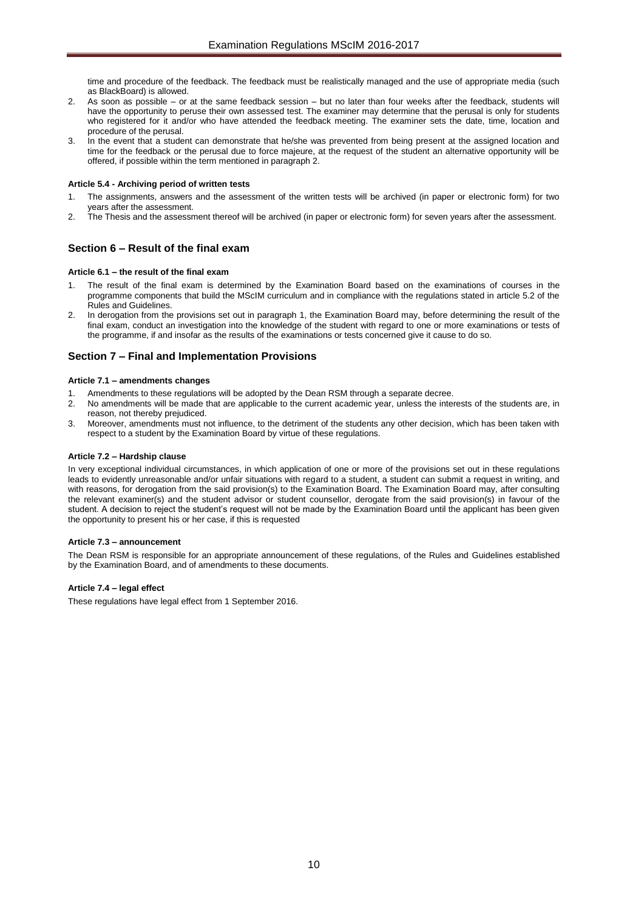time and procedure of the feedback. The feedback must be realistically managed and the use of appropriate media (such as BlackBoard) is allowed.

- 2. As soon as possible or at the same feedback session but no later than four weeks after the feedback, students will have the opportunity to peruse their own assessed test. The examiner may determine that the perusal is only for students who registered for it and/or who have attended the feedback meeting. The examiner sets the date, time, location and procedure of the perusal.
- 3. In the event that a student can demonstrate that he/she was prevented from being present at the assigned location and time for the feedback or the perusal due to force majeure, at the request of the student an alternative opportunity will be offered, if possible within the term mentioned in paragraph 2.

## <span id="page-9-0"></span>**Article 5.4 - Archiving period of written tests**

- 1. The assignments, answers and the assessment of the written tests will be archived (in paper or electronic form) for two years after the assessment.
- 2. The Thesis and the assessment thereof will be archived (in paper or electronic form) for seven years after the assessment.

# <span id="page-9-2"></span><span id="page-9-1"></span>**Section 6 – Result of the final exam**

## **Article 6.1 – the result of the final exam**

- 1. The result of the final exam is determined by the Examination Board based on the examinations of courses in the programme components that build the MScIM curriculum and in compliance with the regulations stated in article 5.2 of the Rules and Guidelines.
- 2. In derogation from the provisions set out in paragraph 1, the Examination Board may, before determining the result of the final exam, conduct an investigation into the knowledge of the student with regard to one or more examinations or tests of the programme, if and insofar as the results of the examinations or tests concerned give it cause to do so.

# <span id="page-9-3"></span>**Section 7 – Final and Implementation Provisions**

## <span id="page-9-4"></span>**Article 7.1 – amendments changes**

- Amendments to these regulations will be adopted by the Dean RSM through a separate decree.
- 2. No amendments will be made that are applicable to the current academic year, unless the interests of the students are, in reason, not thereby prejudiced.
- 3. Moreover, amendments must not influence, to the detriment of the students any other decision, which has been taken with respect to a student by the Examination Board by virtue of these regulations.

## <span id="page-9-5"></span>**Article 7.2 – Hardship clause**

In very exceptional individual circumstances, in which application of one or more of the provisions set out in these regulations leads to evidently unreasonable and/or unfair situations with regard to a student, a student can submit a request in writing, and with reasons, for derogation from the said provision(s) to the Examination Board. The Examination Board may, after consulting the relevant examiner(s) and the student advisor or student counsellor, derogate from the said provision(s) in favour of the student. A decision to reject the student's request will not be made by the Examination Board until the applicant has been given the opportunity to present his or her case, if this is requested

## <span id="page-9-6"></span>**Article 7.3 – announcement**

The Dean RSM is responsible for an appropriate announcement of these regulations, of the Rules and Guidelines established by the Examination Board, and of amendments to these documents.

## <span id="page-9-7"></span>**Article 7.4 – legal effect**

These regulations have legal effect from 1 September 2016.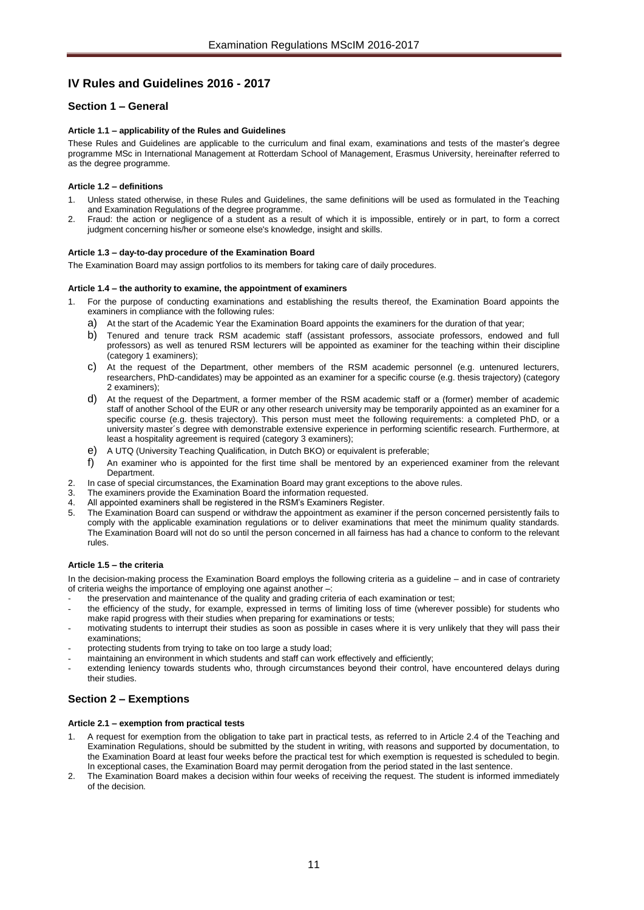# <span id="page-10-0"></span>**IV Rules and Guidelines 2016 - 2017**

# <span id="page-10-2"></span><span id="page-10-1"></span>**Section 1 – General**

## **Article 1.1 – applicability of the Rules and Guidelines**

These Rules and Guidelines are applicable to the curriculum and final exam, examinations and tests of the master's degree programme MSc in International Management at Rotterdam School of Management, Erasmus University, hereinafter referred to as the degree programme.

## <span id="page-10-3"></span>**Article 1.2 – definitions**

- Unless stated otherwise, in these Rules and Guidelines, the same definitions will be used as formulated in the Teaching and Examination Regulations of the degree programme.
- 2. Fraud: the action or negligence of a student as a result of which it is impossible, entirely or in part, to form a correct judgment concerning his/her or someone else's knowledge, insight and skills.

## <span id="page-10-4"></span>**Article 1.3 – day-to-day procedure of the Examination Board**

<span id="page-10-5"></span>The Examination Board may assign portfolios to its members for taking care of daily procedures.

## **Article 1.4 – the authority to examine, the appointment of examiners**

- 1. For the purpose of conducting examinations and establishing the results thereof, the Examination Board appoints the examiners in compliance with the following rules:
	- a) At the start of the Academic Year the Examination Board appoints the examiners for the duration of that year;
	- b) Tenured and tenure track RSM academic staff (assistant professors, associate professors, endowed and full professors) as well as tenured RSM lecturers will be appointed as examiner for the teaching within their discipline (category 1 examiners);
	- c) At the request of the Department, other members of the RSM academic personnel (e.g. untenured lecturers, researchers, PhD-candidates) may be appointed as an examiner for a specific course (e.g. thesis trajectory) (category 2 examiners);
	- d) At the request of the Department, a former member of the RSM academic staff or a (former) member of academic staff of another School of the EUR or any other research university may be temporarily appointed as an examiner for a specific course (e.g. thesis trajectory). This person must meet the following requirements: a completed PhD, or a university master´s degree with demonstrable extensive experience in performing scientific research. Furthermore, at least a hospitality agreement is required (category 3 examiners);
	- e) A UTQ (University Teaching Qualification, in Dutch BKO) or equivalent is preferable;
	- f) An examiner who is appointed for the first time shall be mentored by an experienced examiner from the relevant Department.
- 2. In case of special circumstances, the Examination Board may grant exceptions to the above rules.
- 3. The examiners provide the Examination Board the information requested.<br>4. All appointed examiners shall be registered in the RSM's Examiners Register
- 4. All appointed examiners shall be registered in the RSM's Examiners Register.<br>5. The Examination Board can suspend or withdraw the appointment as examine
- 5. The Examination Board can suspend or withdraw the appointment as examiner if the person concerned persistently fails to comply with the applicable examination regulations or to deliver examinations that meet the minimum quality standards. The Examination Board will not do so until the person concerned in all fairness has had a chance to conform to the relevant rules.

## <span id="page-10-6"></span>**Article 1.5 – the criteria**

In the decision-making process the Examination Board employs the following criteria as a guideline – and in case of contrariety of criteria weighs the importance of employing one against another –:

- the preservation and maintenance of the quality and grading criteria of each examination or test;
- the efficiency of the study, for example, expressed in terms of limiting loss of time (wherever possible) for students who make rapid progress with their studies when preparing for examinations or tests;
- motivating students to interrupt their studies as soon as possible in cases where it is very unlikely that they will pass their examinations;
- protecting students from trying to take on too large a study load;
- maintaining an environment in which students and staff can work effectively and efficiently;
- extending leniency towards students who, through circumstances beyond their control, have encountered delays during their studies.

# <span id="page-10-8"></span><span id="page-10-7"></span>**Section 2 – Exemptions**

## **Article 2.1 – exemption from practical tests**

- 1. A request for exemption from the obligation to take part in practical tests, as referred to in Article 2.4 of the Teaching and Examination Regulations, should be submitted by the student in writing, with reasons and supported by documentation, to the Examination Board at least four weeks before the practical test for which exemption is requested is scheduled to begin. In exceptional cases, the Examination Board may permit derogation from the period stated in the last sentence.
- 2. The Examination Board makes a decision within four weeks of receiving the request. The student is informed immediately of the decision.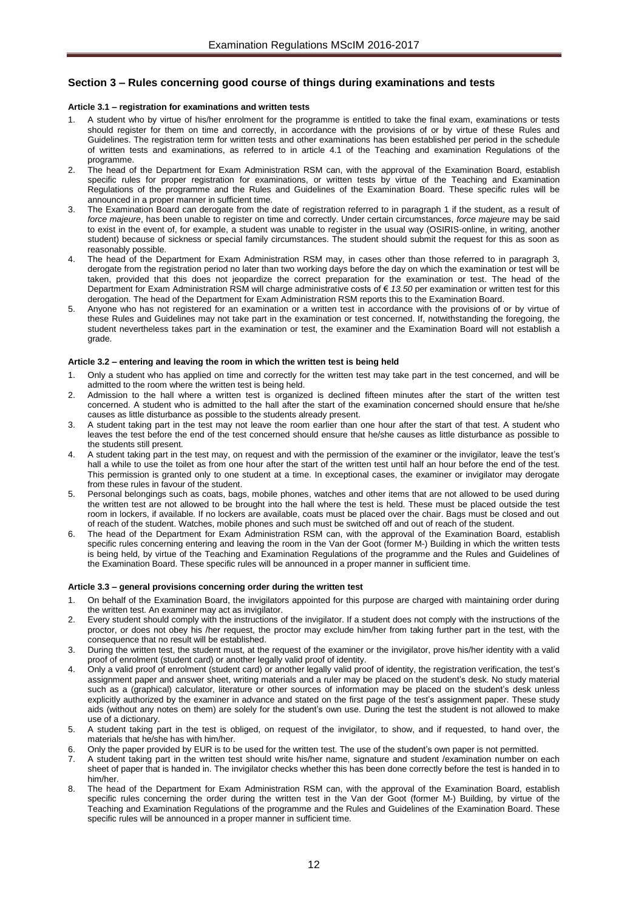# <span id="page-11-1"></span><span id="page-11-0"></span>**Section 3 – Rules concerning good course of things during examinations and tests**

#### **Article 3.1 – registration for examinations and written tests**

- 1. A student who by virtue of his/her enrolment for the programme is entitled to take the final exam, examinations or tests should register for them on time and correctly, in accordance with the provisions of or by virtue of these Rules and Guidelines. The registration term for written tests and other examinations has been established per period in the schedule of written tests and examinations, as referred to in article 4.1 of the Teaching and examination Regulations of the programme.
- 2. The head of the Department for Exam Administration RSM can, with the approval of the Examination Board, establish specific rules for proper registration for examinations, or written tests by virtue of the Teaching and Examination Regulations of the programme and the Rules and Guidelines of the Examination Board. These specific rules will be announced in a proper manner in sufficient time.
- The Examination Board can derogate from the date of registration referred to in paragraph 1 if the student, as a result of *force majeure*, has been unable to register on time and correctly. Under certain circumstances, *force majeure* may be said to exist in the event of, for example, a student was unable to register in the usual way (OSIRIS-online, in writing, another student) because of sickness or special family circumstances. The student should submit the request for this as soon as reasonably possible.
- The head of the Department for Exam Administration RSM may, in cases other than those referred to in paragraph 3, derogate from the registration period no later than two working days before the day on which the examination or test will be taken, provided that this does not jeopardize the correct preparation for the examination or test. The head of the Department for Exam Administration RSM will charge administrative costs of € *13.50* per examination or written test for this derogation. The head of the Department for Exam Administration RSM reports this to the Examination Board.
- 5. Anyone who has not registered for an examination or a written test in accordance with the provisions of or by virtue of these Rules and Guidelines may not take part in the examination or test concerned. If, notwithstanding the foregoing, the student nevertheless takes part in the examination or test, the examiner and the Examination Board will not establish a grade.

### <span id="page-11-2"></span>**Article 3.2 – entering and leaving the room in which the written test is being held**

- 1. Only a student who has applied on time and correctly for the written test may take part in the test concerned, and will be admitted to the room where the written test is being held.
- 2. Admission to the hall where a written test is organized is declined fifteen minutes after the start of the written test concerned. A student who is admitted to the hall after the start of the examination concerned should ensure that he/she causes as little disturbance as possible to the students already present.
- 3. A student taking part in the test may not leave the room earlier than one hour after the start of that test. A student who leaves the test before the end of the test concerned should ensure that he/she causes as little disturbance as possible to the students still present.
- 4. A student taking part in the test may, on request and with the permission of the examiner or the invigilator, leave the test's hall a while to use the toilet as from one hour after the start of the written test until half an hour before the end of the test. This permission is granted only to one student at a time. In exceptional cases, the examiner or invigilator may derogate from these rules in favour of the student.
- 5. Personal belongings such as coats, bags, mobile phones, watches and other items that are not allowed to be used during the written test are not allowed to be brought into the hall where the test is held. These must be placed outside the test room in lockers, if available. If no lockers are available, coats must be placed over the chair. Bags must be closed and out of reach of the student. Watches, mobile phones and such must be switched off and out of reach of the student.
- 6. The head of the Department for Exam Administration RSM can, with the approval of the Examination Board, establish specific rules concerning entering and leaving the room in the Van der Goot (former M-) Building in which the written tests is being held, by virtue of the Teaching and Examination Regulations of the programme and the Rules and Guidelines of the Examination Board. These specific rules will be announced in a proper manner in sufficient time.

#### <span id="page-11-3"></span>**Article 3.3 – general provisions concerning order during the written test**

- 1. On behalf of the Examination Board, the invigilators appointed for this purpose are charged with maintaining order during the written test. An examiner may act as invigilator.
- 2. Every student should comply with the instructions of the invigilator. If a student does not comply with the instructions of the proctor, or does not obey his /her request, the proctor may exclude him/her from taking further part in the test, with the consequence that no result will be established.
- 3. During the written test, the student must, at the request of the examiner or the invigilator, prove his/her identity with a valid proof of enrolment (student card) or another legally valid proof of identity.
- 4. Only a valid proof of enrolment (student card) or another legally valid proof of identity, the registration verification, the test's assignment paper and answer sheet, writing materials and a ruler may be placed on the student's desk. No study material such as a (graphical) calculator, literature or other sources of information may be placed on the student's desk unless explicitly authorized by the examiner in advance and stated on the first page of the test's assignment paper. These study aids (without any notes on them) are solely for the student's own use. During the test the student is not allowed to make use of a dictionary.
- 5. A student taking part in the test is obliged, on request of the invigilator, to show, and if requested, to hand over, the materials that he/she has with him/her.
- 6. Only the paper provided by EUR is to be used for the written test. The use of the student's own paper is not permitted.
- 7. A student taking part in the written test should write his/her name, signature and student /examination number on each sheet of paper that is handed in. The invigilator checks whether this has been done correctly before the test is handed in to him/her.
- 8. The head of the Department for Exam Administration RSM can, with the approval of the Examination Board, establish specific rules concerning the order during the written test in the Van der Goot (former M-) Building, by virtue of the Teaching and Examination Regulations of the programme and the Rules and Guidelines of the Examination Board. These specific rules will be announced in a proper manner in sufficient time.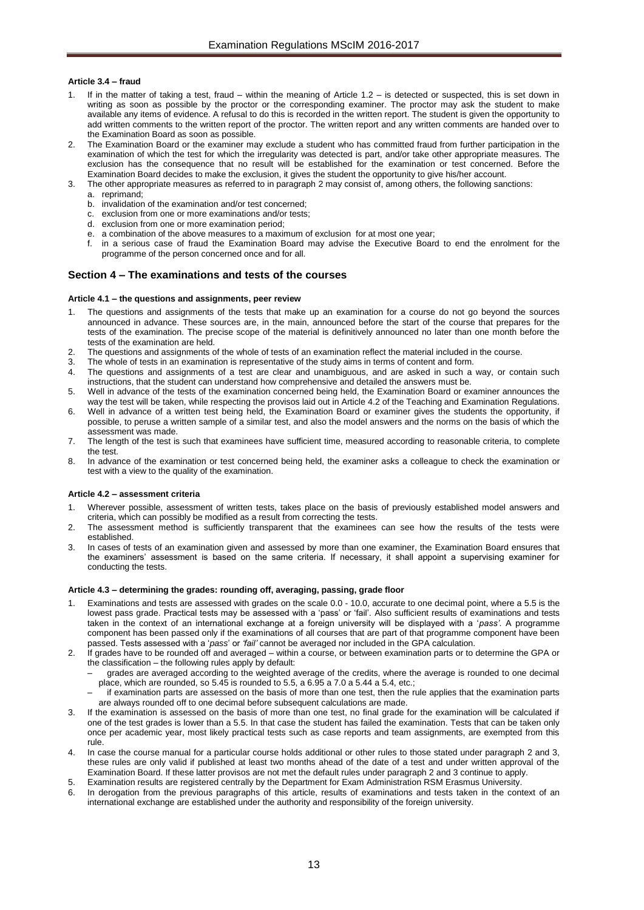## <span id="page-12-0"></span>**Article 3.4 – fraud**

- If in the matter of taking a test, fraud within the meaning of Article 1.2 is detected or suspected, this is set down in writing as soon as possible by the proctor or the corresponding examiner. The proctor may ask the student to make available any items of evidence. A refusal to do this is recorded in the written report. The student is given the opportunity to add written comments to the written report of the proctor. The written report and any written comments are handed over to the Examination Board as soon as possible.
- 2. The Examination Board or the examiner may exclude a student who has committed fraud from further participation in the examination of which the test for which the irregularity was detected is part, and/or take other appropriate measures. The exclusion has the consequence that no result will be established for the examination or test concerned. Before the Examination Board decides to make the exclusion, it gives the student the opportunity to give his/her account.
- 3. The other appropriate measures as referred to in paragraph 2 may consist of, among others, the following sanctions:
	- a. reprimand;
	- b. invalidation of the examination and/or test concerned;
	- c. exclusion from one or more examinations and/or tests;
	- d. exclusion from one or more examination period;
	- e. a combination of the above measures to a maximum of exclusion for at most one year;
	- f. in a serious case of fraud the Examination Board may advise the Executive Board to end the enrolment for the programme of the person concerned once and for all.

## <span id="page-12-1"></span>**Section 4 – The examinations and tests of the courses**

## <span id="page-12-2"></span>**Article 4.1 – the questions and assignments, peer review**

- The questions and assignments of the tests that make up an examination for a course do not go beyond the sources announced in advance. These sources are, in the main, announced before the start of the course that prepares for the tests of the examination. The precise scope of the material is definitively announced no later than one month before the tests of the examination are held.
- 2. The questions and assignments of the whole of tests of an examination reflect the material included in the course.<br>3. The whole of tests in an examination is representative of the study aims in terms of content and form
- The whole of tests in an examination is representative of the study aims in terms of content and form.
- 4. The questions and assignments of a test are clear and unambiguous, and are asked in such a way, or contain such instructions, that the student can understand how comprehensive and detailed the answers must be.
- 5. Well in advance of the tests of the examination concerned being held, the Examination Board or examiner announces the way the test will be taken, while respecting the provisos laid out in Article 4.2 of the Teaching and Examination Regulations.
- 6. Well in advance of a written test being held, the Examination Board or examiner gives the students the opportunity, if possible, to peruse a written sample of a similar test, and also the model answers and the norms on the basis of which the assessment was made.
- 7. The length of the test is such that examinees have sufficient time, measured according to reasonable criteria, to complete the test.
- 8. In advance of the examination or test concerned being held, the examiner asks a colleague to check the examination or test with a view to the quality of the examination.

## <span id="page-12-3"></span>**Article 4.2 – assessment criteria**

- 1. Wherever possible, assessment of written tests, takes place on the basis of previously established model answers and criteria, which can possibly be modified as a result from correcting the tests.
- The assessment method is sufficiently transparent that the examinees can see how the results of the tests were established.
- 3. In cases of tests of an examination given and assessed by more than one examiner, the Examination Board ensures that the examiners' assessment is based on the same criteria. If necessary, it shall appoint a supervising examiner for conducting the tests.

## <span id="page-12-4"></span>**Article 4.3 – determining the grades: rounding off, averaging, passing, grade floor**

- Examinations and tests are assessed with grades on the scale 0.0 10.0, accurate to one decimal point, where a 5.5 is the lowest pass grade. Practical tests may be assessed with a 'pass' or 'fail'. Also sufficient results of examinations and tests taken in the context of an international exchange at a foreign university will be displayed with a '*pass'*. A programme component has been passed only if the examinations of all courses that are part of that programme component have been passed. Tests assessed with a '*pass*' or *'fail'* cannot be averaged nor included in the GPA calculation.
- 2. If grades have to be rounded off and averaged within a course, or between examination parts or to determine the GPA or the classification – the following rules apply by default:
	- grades are averaged according to the weighted average of the credits, where the average is rounded to one decimal place, which are rounded, so 5.45 is rounded to 5.5, a 6.95 a 7.0 a 5.44 a 5.4, etc.;
	- if examination parts are assessed on the basis of more than one test, then the rule applies that the examination parts are always rounded off to one decimal before subsequent calculations are made.
- If the examination is assessed on the basis of more than one test, no final grade for the examination will be calculated if one of the test grades is lower than a 5.5. In that case the student has failed the examination. Tests that can be taken only once per academic year, most likely practical tests such as case reports and team assignments, are exempted from this rule.
- 4. In case the course manual for a particular course holds additional or other rules to those stated under paragraph 2 and 3, these rules are only valid if published at least two months ahead of the date of a test and under written approval of the Examination Board. If these latter provisos are not met the default rules under paragraph 2 and 3 continue to apply.
- 5. Examination results are registered centrally by the Department for Exam Administration RSM Erasmus University.
- 6. In derogation from the previous paragraphs of this article, results of examinations and tests taken in the context of an international exchange are established under the authority and responsibility of the foreign university.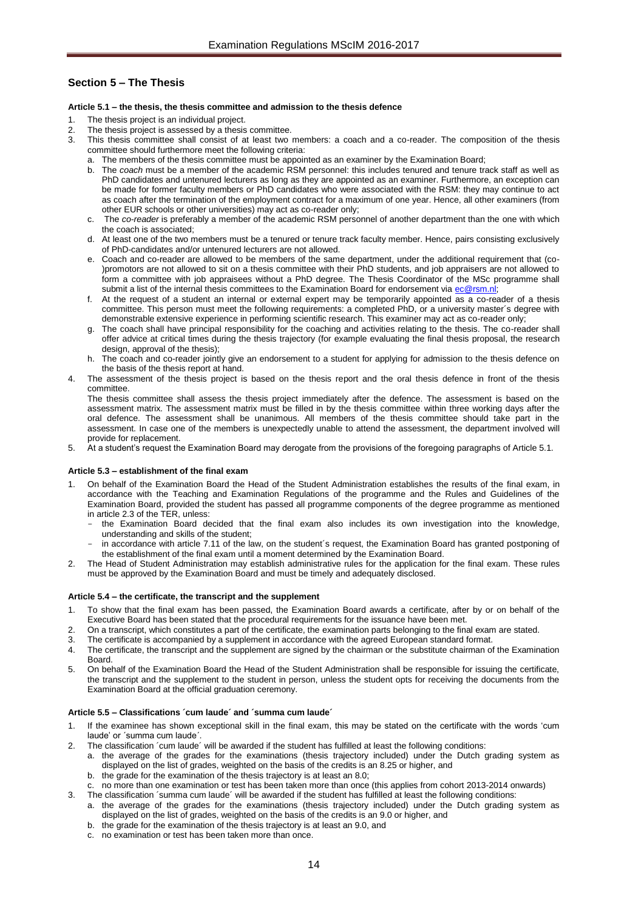# <span id="page-13-1"></span><span id="page-13-0"></span>**Section 5 – The Thesis**

## **Article 5.1 – the thesis, the thesis committee and admission to the thesis defence**

- The thesis project is an individual project.
- 2. The thesis project is assessed by a thesis committee.<br>3. This thesis committee shall consist of at least two
- This thesis committee shall consist of at least two members: a coach and a co-reader. The composition of the thesis committee should furthermore meet the following criteria:
	- a. The members of the thesis committee must be appointed as an examiner by the Examination Board;
	- b. The *coach* must be a member of the academic RSM personnel: this includes tenured and tenure track staff as well as PhD candidates and untenured lecturers as long as they are appointed as an examiner. Furthermore, an exception can be made for former faculty members or PhD candidates who were associated with the RSM: they may continue to act as coach after the termination of the employment contract for a maximum of one year. Hence, all other examiners (from other EUR schools or other universities) may act as co-reader only;
	- c. The *co-reader* is preferably a member of the academic RSM personnel of another department than the one with which the coach is associated;
	- d. At least one of the two members must be a tenured or tenure track faculty member. Hence, pairs consisting exclusively of PhD-candidates and/or untenured lecturers are not allowed.
	- e. Coach and co-reader are allowed to be members of the same department, under the additional requirement that (co- )promotors are not allowed to sit on a thesis committee with their PhD students, and job appraisers are not allowed to form a committee with job appraisees without a PhD degree. The Thesis Coordinator of the MSc programme shall submit a list of the internal thesis committees to the Examination Board for endorsement vi[a ec@rsm.nl;](mailto:ec@rsm.nl)
	- f. At the request of a student an internal or external expert may be temporarily appointed as a co-reader of a thesis committee. This person must meet the following requirements: a completed PhD, or a university master´s degree with demonstrable extensive experience in performing scientific research. This examiner may act as co-reader only;
	- g. The coach shall have principal responsibility for the coaching and activities relating to the thesis. The co-reader shall offer advice at critical times during the thesis trajectory (for example evaluating the final thesis proposal, the research design, approval of the thesis);
	- h. The coach and co-reader jointly give an endorsement to a student for applying for admission to the thesis defence on the basis of the thesis report at hand.
- The assessment of the thesis project is based on the thesis report and the oral thesis defence in front of the thesis committee.

The thesis committee shall assess the thesis project immediately after the defence. The assessment is based on the assessment matrix. The assessment matrix must be filled in by the thesis committee within three working days after the oral defence. The assessment shall be unanimous. All members of the thesis committee should take part in the assessment. In case one of the members is unexpectedly unable to attend the assessment, the department involved will provide for replacement.

<span id="page-13-2"></span>5. At a student's request the Examination Board may derogate from the provisions of the foregoing paragraphs of Article 5.1.

## **Article 5.3 – establishment of the final exam**

- 1. On behalf of the Examination Board the Head of the Student Administration establishes the results of the final exam, in accordance with the Teaching and Examination Regulations of the programme and the Rules and Guidelines of the Examination Board, provided the student has passed all programme components of the degree programme as mentioned in article 2.3 of the TER, unless:
	- the Examination Board decided that the final exam also includes its own investigation into the knowledge, understanding and skills of the student;
	- in accordance with article 7.11 of the law, on the student's request, the Examination Board has granted postponing of the establishment of the final exam until a moment determined by the Examination Board.
- 2. The Head of Student Administration may establish administrative rules for the application for the final exam. These rules must be approved by the Examination Board and must be timely and adequately disclosed.

## <span id="page-13-3"></span>**Article 5.4 – the certificate, the transcript and the supplement**

- 1. To show that the final exam has been passed, the Examination Board awards a certificate, after by or on behalf of the Executive Board has been stated that the procedural requirements for the issuance have been met.
- 2. On a transcript, which constitutes a part of the certificate, the examination parts belonging to the final exam are stated.
- The certificate is accompanied by a supplement in accordance with the agreed European standard format.
- 4. The certificate, the transcript and the supplement are signed by the chairman or the substitute chairman of the Examination **Board**
- 5. On behalf of the Examination Board the Head of the Student Administration shall be responsible for issuing the certificate, the transcript and the supplement to the student in person, unless the student opts for receiving the documents from the Examination Board at the official graduation ceremony.

## <span id="page-13-4"></span>**Article 5.5 – Classifications ´cum laude´ and ´summa cum laude´**

- 1. If the examinee has shown exceptional skill in the final exam, this may be stated on the certificate with the words 'cum laude' or ´summa cum laude´.
- The classification 'cum laude' will be awarded if the student has fulfilled at least the following conditions:
	- a. the average of the grades for the examinations (thesis trajectory included) under the Dutch grading system as displayed on the list of grades, weighted on the basis of the credits is an 8.25 or higher, and
	- b. the grade for the examination of the thesis trajectory is at least an 8.0;
	- c. no more than one examination or test has been taken more than once (this applies from cohort 2013-2014 onwards)
- The classification ´summa cum laude´ will be awarded if the student has fulfilled at least the following conditions: a. the average of the grades for the examinations (thesis trajectory included) under the Dutch grading system as
	- displayed on the list of grades, weighted on the basis of the credits is an 9.0 or higher, and b. the grade for the examination of the thesis trajectory is at least an 9.0, and
	-
	- c. no examination or test has been taken more than once.